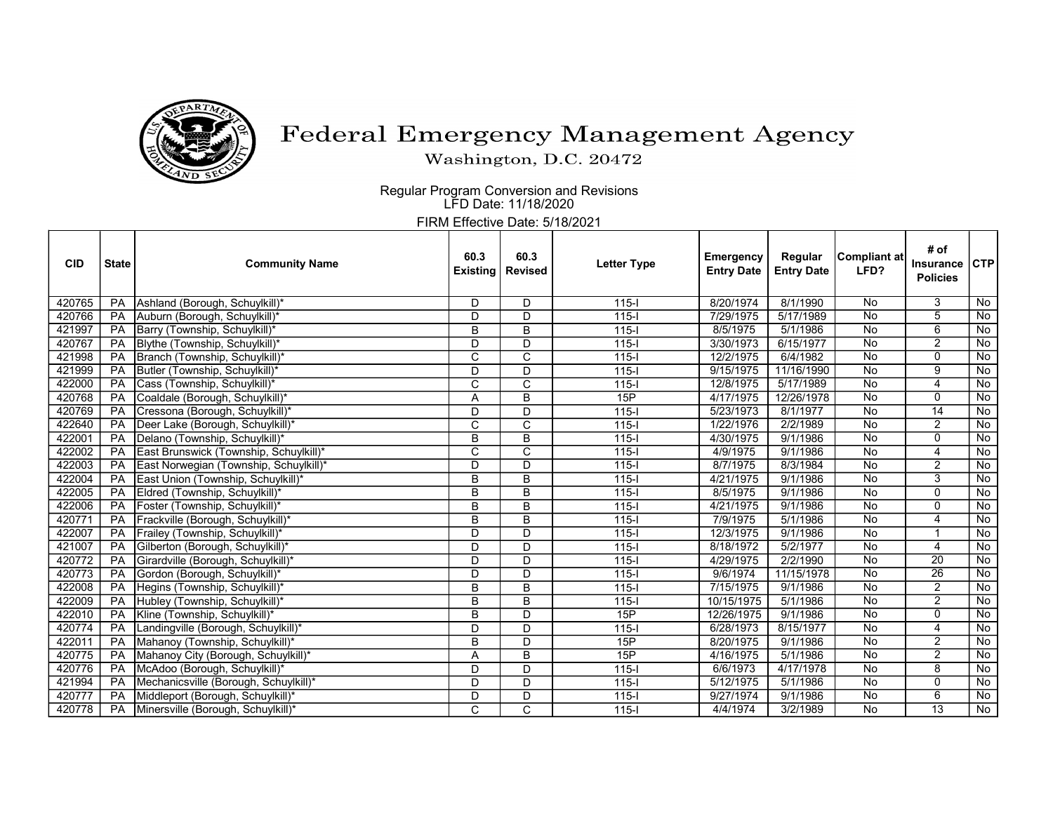

## Federal Emergency Management Agency

Washington, D.C. 20472

 Regular Program Conversion and Revisions LFD Date: 11/18/2020

FIRM Effective Date: 5/18/2021

| <b>CID</b> | <b>State</b> | <b>Community Name</b>                  | 60.3<br><b>Existing</b> | 60.3<br><b>Revised</b> | <b>Letter Type</b> | <b>Emergency</b><br><b>Entry Date</b> | Regular<br><b>Entry Date</b> | <b>Compliant at</b><br>LFD? | # of<br><b>Insurance</b><br><b>Policies</b> | CTP       |
|------------|--------------|----------------------------------------|-------------------------|------------------------|--------------------|---------------------------------------|------------------------------|-----------------------------|---------------------------------------------|-----------|
| 420765     | <b>PA</b>    | Ashland (Borough, Schuylkill)*         | D                       | D                      | $115 -$            | 8/20/1974                             | 8/1/1990                     | No                          | 3                                           | No        |
| 420766     | PA           | Auburn (Borough, Schuylkill)*          | $\mathsf{D}$            | $\mathsf{D}$           | $\overline{115}$   | 7/29/1975                             | 5/17/1989                    | $\overline{N}$              | 5                                           | No        |
| 421997     | PA           | Barry (Township, Schuylkill)*          | B                       | $\overline{B}$         | $115 -$            | 8/5/1975                              | 5/1/1986                     | <b>No</b>                   | $6\overline{6}$                             | No        |
| 420767     | <b>PA</b>    | Blythe (Township, Schuylkill)*         | D                       | D                      | $115 -$            | 3/30/1973                             | 6/15/1977                    | $\overline{N_{0}}$          | $\overline{2}$                              | No        |
| 421998     | PA           | Branch (Township, Schuylkill)*         | C                       | C                      | $115 -$            | 12/2/1975                             | 6/4/1982                     | No                          | $\Omega$                                    | No        |
| 421999     | PA           | Butler (Township, Schuylkill)*         | D                       | D                      | $115 -$            | 9/15/1975                             | 11/16/1990                   | $\overline{N_{0}}$          | 9                                           | No        |
| 422000     | PA           | Cass (Township, Schuylkill)*           | C                       | C                      | $115 -$            | 12/8/1975                             | 5/17/1989                    | No                          | 4                                           | No        |
| 420768     | PA           | Coaldale (Borough, Schuylkill)*        | A                       | B                      | 15P                | 4/17/1975                             | 12/26/1978                   | No                          | 0                                           | No        |
| 420769     | PA           | Cressona (Borough, Schuylkill)*        | D                       | D                      | $115 -$            | 5/23/1973                             | 8/1/1977                     | <b>No</b>                   | $\overline{14}$                             | No        |
| 422640     | PA           | Deer Lake (Borough, Schuylkill)*       | C                       | C                      | $115 -$            | 1/22/1976                             | 2/2/1989                     | No                          | $\overline{2}$                              | No        |
| 422001     | PA           | Delano (Township, Schuylkill)*         | B                       | B                      | $115 -$            | 4/30/1975                             | 9/1/1986                     | No                          | 0                                           | No        |
| 422002     | PA           | East Brunswick (Township, Schuylkill)* | $\mathsf{C}$            | $\mathsf{C}$           | $115 -$            | 4/9/1975                              | 9/1/1986                     | No                          | 4                                           | No        |
| 422003     | PA           | East Norwegian (Township, Schuylkill)* | D                       | D                      | $115 -$            | 8/7/1975                              | 8/3/1984                     | No                          | $\overline{2}$                              | No        |
| 422004     | PA           | East Union (Township, Schuylkill)*     | B                       | B                      | $115 -$            | 4/21/1975                             | 9/1/1986                     | $\overline{N_{0}}$          | 3                                           | No        |
| 422005     | PA           | Eldred (Township, Schuylkill)*         | B                       | B                      | $115 -$            | 8/5/1975                              | 9/1/1986                     | $\overline{N_{0}}$          | $\mathbf 0$                                 | No        |
| 422006     | PA           | Foster (Township, Schuylkill)*         | B                       | B                      | $115 -$            | 4/21/1975                             | 9/1/1986                     | No                          | 0                                           | No        |
| 420771     | PA           | Frackville (Borough, Schuylkill)*      | B                       | B                      | $115 -$            | 7/9/1975                              | 5/1/1986                     | No                          | 4                                           | No        |
| 422007     | PA           | Frailey (Township, Schuylkill)*        | $\overline{D}$          | $\overline{D}$         | $115 -$            | 12/3/1975                             | 9/1/1986                     | No                          |                                             | No        |
| 421007     | PA           | Gilberton (Borough, Schuylkill)*       | D                       | D                      | $115 -$            | 8/18/1972                             | 5/2/1977                     | <b>No</b>                   | 4                                           | No        |
| 420772     | PA           | Girardville (Borough, Schuylkill)*     | D                       | D                      | $115 -$            | 4/29/1975                             | 2/2/1990                     | No                          | $\overline{20}$                             | No        |
| 420773     | PA           | Gordon (Borough, Schuylkill)*          | D                       | D                      | $115 -$            | 9/6/1974                              | 11/15/1978                   | No                          | $\overline{26}$                             | No        |
| 422008     | PA           | Hegins (Township, Schuylkill)*         | B                       | B                      | $115 -$            | 7/15/1975                             | 9/1/1986                     | $\overline{N}$              | $\overline{2}$                              | No        |
| 422009     | PA           | Hubley (Township, Schuylkill)*         | B                       | $\overline{B}$         | $115 -$            | 10/15/1975                            | 5/1/1986                     | No                          | $\overline{2}$                              | No        |
| 422010     | PA           | Kline (Township, Schuylkill)*          | B                       | D                      | 15P                | 12/26/1975                            | 9/1/1986                     | <b>No</b>                   | 0                                           | No        |
| 420774     | PA           | Landingville (Borough, Schuylkill)*    | D                       | D                      | $115 -$            | 6/28/1973                             | 8/15/1977                    | No                          | 4                                           | No        |
| 422011     | PA           | Mahanoy (Township, Schuylkill)*        | B                       | D                      | 15P                | 8/20/1975                             | 9/1/1986                     | $\overline{N_{0}}$          | $\overline{2}$                              | No        |
| 420775     | PA           | Mahanoy City (Borough, Schuylkill)*    | A                       | B                      | 15P                | 4/16/1975                             | 5/1/1986                     | No                          | $\overline{2}$                              | No        |
| 420776     | PA           | McAdoo (Borough, Schuylkill)*          | D                       | D                      | $115 -$            | 6/6/1973                              | 4/17/1978                    | <b>No</b>                   | 8                                           | No        |
| 421994     | PA           | Mechanicsville (Borough, Schuylkill)*  | D                       | D                      | $115 -$            | 5/12/1975                             | 5/1/1986                     | <b>No</b>                   | 0                                           | No        |
| 420777     | PA           | Middleport (Borough, Schuylkill)*      | D                       | D                      | $115 -$            | 9/27/1974                             | 9/1/1986                     | No                          | 6                                           | No        |
| 420778     | PA           | Minersville (Borough, Schuylkill)*     | $\mathsf{C}$            | $\mathsf{C}$           | $115 -$            | 4/4/1974                              | 3/2/1989                     | <b>No</b>                   | $\overline{13}$                             | <b>No</b> |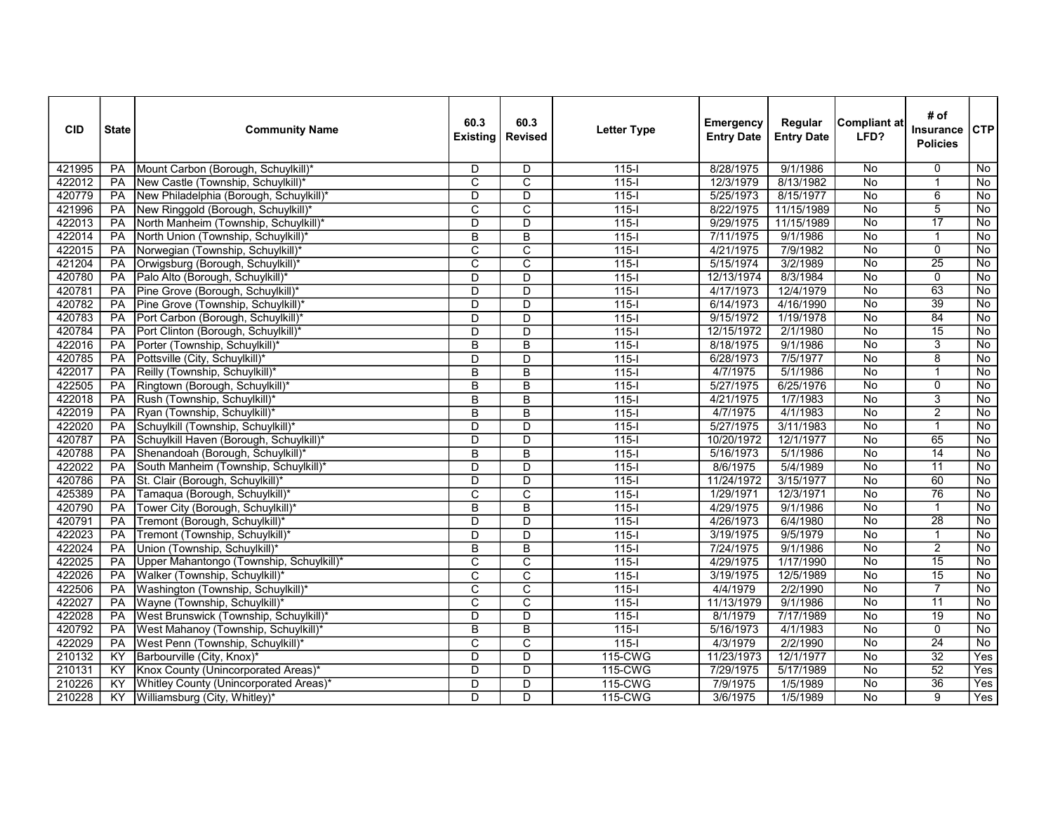| <b>CID</b> | <b>State</b>    | <b>Community Name</b>                           | 60.3<br><b>Existing</b> | 60.3<br><b>Revised</b>  | <b>Letter Type</b> | Emergency<br><b>Entry Date</b> | Regular<br><b>Entry Date</b> | <b>Compliant at</b><br>LFD? | # of<br>Insurance<br><b>Policies</b> | CTP                |
|------------|-----------------|-------------------------------------------------|-------------------------|-------------------------|--------------------|--------------------------------|------------------------------|-----------------------------|--------------------------------------|--------------------|
| 421995     | <b>PA</b>       | Mount Carbon (Borough, Schuylkill)*             | D                       | D                       | $115 -$            | 8/28/1975                      | 9/1/1986                     | No                          | $\Omega$                             | No.                |
| 422012     | PA              | New Castle (Township, Schuylkill)*              | $\overline{\mathrm{c}}$ | $\overline{\mathrm{c}}$ | $115 -$            | 12/3/1979                      | 8/13/1982                    | $\overline{N}$              | $\overline{1}$                       | $\overline{N}$     |
| 420779     | PA              | New Philadelphia (Borough, Schuylkill)*         | $\overline{\mathsf{D}}$ | $\overline{\mathsf{D}}$ | $115 -$            | 5/25/1973                      | 8/15/1977                    | No                          | $\overline{6}$                       | No                 |
| 421996     | <b>PA</b>       | New Ringgold (Borough, Schuylkill)*             | C                       | C                       | $115-I$            | 8/22/1975                      | 11/15/1989                   | $\overline{N_{0}}$          | $\overline{5}$                       | No                 |
| 422013     | PA              | North Manheim (Township, Schuylkill)*           | D                       | $\overline{\mathsf{D}}$ | $115 -$            | 9/29/1975                      | 11/15/1989                   | $\overline{No}$             | $\overline{17}$                      | $\overline{No}$    |
| 422014     | PA              | North Union (Township, Schuylkill)*             | B                       | B                       | $115 -$            | 7/11/1975                      | 9/1/1986                     | No                          | $\mathbf 1$                          | No                 |
| 422015     | <b>PA</b>       | Norwegian (Township, Schuylkill)*               | $\overline{C}$          | $\overline{C}$          | $115-I$            | 4/21/1975                      | 7/9/1982                     | $\overline{N}$              | $\overline{0}$                       | No                 |
| 421204     | PA              | Orwigsburg (Borough, Schuylkill)*               | $\overline{\mathsf{c}}$ | $\overline{\mathsf{c}}$ | $115-I$            | 5/15/1974                      | 3/2/1989                     | No                          | $\overline{25}$                      | No                 |
| 420780     | PA              | Palo Alto (Borough, Schuylkill)*                | D                       | D                       | $\overline{115-1}$ | 12/13/1974                     | 8/3/1984                     | No                          | $\overline{0}$                       | No                 |
| 420781     | <b>PA</b>       | Pine Grove (Borough, Schuylkill)*               | D                       | D                       | $115-I$            | 4/17/1973                      | 12/4/1979                    | $\overline{N}$              | $\overline{63}$                      | No                 |
| 420782     | PA              | Pine Grove (Township, Schuylkill)*              | D                       | D                       | $115 -$            | 6/14/1973                      | 4/16/1990                    | No                          | 39                                   | $\overline{N}$     |
| 420783     | PA              | Port Carbon (Borough, Schuylkill)*              | D                       | D                       | $115 -$            | 9/15/1972                      | 1/19/1978                    | No                          | 84                                   | No                 |
| 420784     | <b>PA</b>       | Port Clinton (Borough, Schuylkill)*             | D                       | $\overline{\mathsf{D}}$ | $115 -$            | 12/15/1972                     | 2/1/1980                     | $\overline{No}$             | $\overline{15}$                      | $\overline{N}$     |
| 422016     | PA              | Porter (Township, Schuylkill)*                  | B                       | B                       | $\overline{115-1}$ | 8/18/1975                      | 9/1/1986                     | $\overline{No}$             | $\overline{3}$                       | $\overline{No}$    |
| 420785     | <b>PA</b>       | Pottsville (City, Schuylkill)*                  | D                       | D                       | $115 -$            | 6/28/1973                      | 7/5/1977                     | No                          | $\overline{8}$                       | No                 |
| 422017     | PA              | Reilly (Township, Schuylkill)*                  | $\overline{B}$          | $\overline{B}$          | $115 -$            | 4/7/1975                       | 5/1/1986                     | $\overline{N}$              | $\overline{1}$                       | $\overline{N}$     |
| 422505     | PA              | Ringtown (Borough, Schuylkill)*                 | B                       | B                       | $115-I$            | 5/27/1975                      | 6/25/1976                    | $\overline{N}$              | $\overline{0}$                       | No                 |
| 422018     | <b>PA</b>       | Rush (Township, Schuylkill)*                    | B                       | B                       | $115 -$            | 4/21/1975                      | 1/7/1983                     | $\overline{N_{0}}$          | 3                                    | No                 |
| 422019     | $\overline{PA}$ | Ryan (Township, Schuylkill)*                    | B                       | $\overline{B}$          | $\overline{115-1}$ | 4/7/1975                       | 4/1/1983                     | $\overline{No}$             | $\overline{2}$                       | No                 |
| 422020     | PA              | Schuylkill (Township, Schuylkill)*              | D                       | D                       | $115 -$            | 5/27/1975                      | 3/11/1983                    | $\overline{N}$              | $\mathbf{1}$                         | No                 |
| 420787     | PA              | Schuylkill Haven (Borough, Schuylkill)*         | D                       | D                       | $115 -$            | 10/20/1972                     | 12/1/1977                    | $\overline{N}$              | 65                                   | No                 |
| 420788     | PA              | Shenandoah (Borough, Schuylkill)*               | B                       | $\overline{B}$          | $115-I$            | 5/16/1973                      | 5/1/1986                     | $\overline{N}$              | $\overline{14}$                      | $\overline{N}$     |
| 422022     | PA              | South Manheim (Township, Schuylkill)*           | D                       | $\overline{D}$          | $115 -$            | 8/6/1975                       | 5/4/1989                     | $\overline{N_{0}}$          | $\overline{11}$                      | No                 |
| 420786     | <b>PA</b>       | St. Clair (Borough, Schuylkill)*                | D                       | D                       | $115 -$            | 11/24/1972                     | 3/15/1977                    | $\overline{N_{0}}$          | 60                                   | No                 |
| 425389     | PA              | Tamaqua (Borough, Schuylkill)*                  | C                       | $\overline{\text{c}}$   | $115 -$            | 1/29/1971                      | 12/3/1971                    | $\overline{N}$              | $\overline{76}$                      | $\overline{No}$    |
| 420790     | PA              | Tower City (Borough, Schuylkill)*               | B                       | B                       | $115 -$            | 4/29/1975                      | 9/1/1986                     | $\overline{N}$              | $\mathbf{1}$                         | No                 |
| 420791     | <b>PA</b>       | Tremont (Borough, Schuylkill)*                  | D                       | D                       | $\overline{115-1}$ | 4/26/1973                      | 6/4/1980                     | $\overline{No}$             | 28                                   | $\overline{N}$     |
| 422023     | PA              | Tremont (Township, Schuylkill)*                 | D                       | D                       | $\overline{115-1}$ | 3/19/1975                      | 9/5/1979                     | No                          | $\overline{1}$                       | No                 |
| 422024     | <b>PA</b>       | Union (Township, Schuylkill)*                   | B                       | B                       | $115 -$            | 7/24/1975                      | 9/1/1986                     | $\overline{N_{0}}$          | $\overline{2}$                       | No                 |
| 422025     | PA              | Upper Mahantongo (Township, Schuylkill)*        | $\overline{\text{c}}$   | $\overline{\mathsf{c}}$ | $115 -$            | 4/29/1975                      | 1/17/1990                    | $\overline{N}$              | $\overline{15}$                      | No                 |
| 422026     | PA              | Walker (Township, Schuylkill)*                  | $\overline{\text{c}}$   | $\overline{\text{c}}$   | $115 -$            | 3/19/1975                      | 12/5/1989                    | $\overline{N}$              | $\overline{15}$                      | No                 |
| 422506     | <b>PA</b>       | Washington (Township, Schuylkill)*              | $\overline{C}$          | $\overline{C}$          | $115-I$            | 4/4/1979                       | 2/2/1990                     | $\overline{N}$              | $\overline{7}$                       | No                 |
| 422027     | PA              | Wayne (Township, Schuylkill)*                   | C                       | C                       | $115-I$            | 11/13/1979                     | 9/1/1986                     | No                          | $\overline{11}$                      | $\overline{N_{0}}$ |
| 422028     | <b>PA</b>       | West Brunswick (Township, Schuylkill)*          | $\overline{D}$          | $\overline{D}$          | $115 -$            | 8/1/1979                       | 7/17/1989                    | $\overline{N_{0}}$          | $\overline{19}$                      | No                 |
| 420792     | <b>PA</b>       | West Mahanoy (Township, Schuylkill)*            | $\overline{B}$          | $\overline{B}$          | $115 -$            | 5/16/1973                      | 4/1/1983                     | $\overline{N_{0}}$          | $\overline{0}$                       | No                 |
| 422029     | PA              | West Penn (Township, Schuylkill)*               | C                       | C                       | $115 -$            | 4/3/1979                       | 2/2/1990                     | $\overline{N}$              | $\overline{24}$                      | No                 |
| 210132     | KY              | Barbourville (City, Knox)*                      | D                       | D                       | 115-CWG            | 11/23/1973                     | 12/1/1977                    | $\overline{N}$              | $\overline{32}$                      | Yes                |
| 210131     | KY              | Knox County (Unincorporated Areas) <sup>®</sup> | $\overline{D}$          | $\overline{D}$          | 115-CWG            | 7/29/1975                      | 5/17/1989                    | No                          | $\overline{52}$                      | <b>Yes</b>         |
| 210226     | KY              | Whitley County (Unincorporated Areas)*          | D                       | D                       | 115-CWG            | 7/9/1975                       | 1/5/1989                     | $\overline{No}$             | $\overline{36}$                      | Yes                |
| 210228     | ΚY              | Williamsburg (City, Whitley)*                   | D                       | D                       | 115-CWG            | 3/6/1975                       | 1/5/1989                     | No                          | $\overline{9}$                       | Yes                |